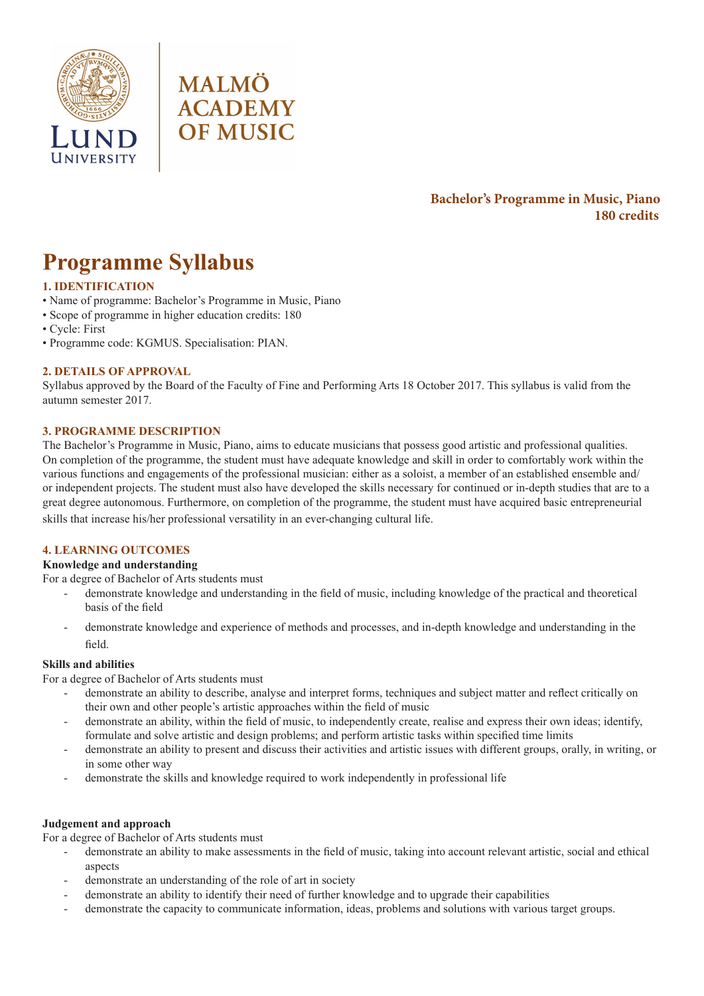



# **Bachelor's Programme in Music, Piano 180 credits**

# **Programme Syllabus**

# **1. IDENTIFICATION**

- Name of programme: Bachelor's Programme in Music, Piano
- Scope of programme in higher education credits: 180
- Cycle: First
- Programme code: KGMUS. Specialisation: PIAN.

# **2. DETAILS OF APPROVAL**

Syllabus approved by the Board of the Faculty of Fine and Performing Arts 18 October 2017. This syllabus is valid from the autumn semester 2017.

# **3. PROGRAMME DESCRIPTION**

The Bachelor's Programme in Music, Piano, aims to educate musicians that possess good artistic and professional qualities. On completion of the programme, the student must have adequate knowledge and skill in order to comfortably work within the various functions and engagements of the professional musician: either as a soloist, a member of an established ensemble and/ or independent projects. The student must also have developed the skills necessary for continued or in-depth studies that are to a great degree autonomous. Furthermore, on completion of the programme, the student must have acquired basic entrepreneurial skills that increase his/her professional versatility in an ever-changing cultural life.

# **4. LEARNING OUTCOMES**

#### **Knowledge and understanding**

For a degree of Bachelor of Arts students must

- demonstrate knowledge and understanding in the field of music, including knowledge of the practical and theoretical basis of the field
- demonstrate knowledge and experience of methods and processes, and in-depth knowledge and understanding in the field.

# **Skills and abilities**

For a degree of Bachelor of Arts students must

- demonstrate an ability to describe, analyse and interpret forms, techniques and subject matter and reflect critically on their own and other people's artistic approaches within the field of music
- demonstrate an ability, within the field of music, to independently create, realise and express their own ideas; identify, formulate and solve artistic and design problems; and perform artistic tasks within specified time limits
- demonstrate an ability to present and discuss their activities and artistic issues with different groups, orally, in writing, or in some other way
- demonstrate the skills and knowledge required to work independently in professional life

#### **Judgement and approach**

For a degree of Bachelor of Arts students must

- demonstrate an ability to make assessments in the field of music, taking into account relevant artistic, social and ethical aspects
- demonstrate an understanding of the role of art in society
- demonstrate an ability to identify their need of further knowledge and to upgrade their capabilities
- demonstrate the capacity to communicate information, ideas, problems and solutions with various target groups.